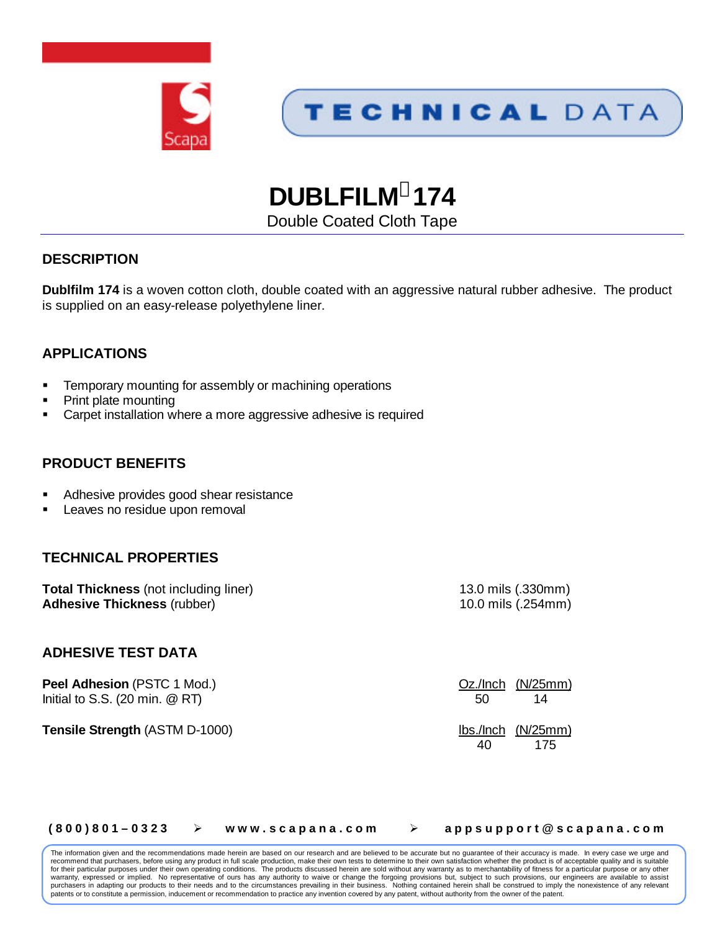



**DUBLFILM<sup>â</sup> 174**

Double Coated Cloth Tape

# **DESCRIPTION**

**Dublfilm 174** is a woven cotton cloth, double coated with an aggressive natural rubber adhesive. The product is supplied on an easy-release polyethylene liner.

# **APPLICATIONS**

- Temporary mounting for assembly or machining operations
- ß Print plate mounting
- ß Carpet installation where a more aggressive adhesive is required

## **PRODUCT BENEFITS**

- ß Adhesive provides good shear resistance
- Leaves no residue upon removal

## **TECHNICAL PROPERTIES**

**Total Thickness** (not including liner) 13.0 mils (.330mm) **Adhesive Thickness** (rubber) 10.0 mils (.254mm)

### **ADHESIVE TEST DATA**

**Peel Adhesion** (PSTC 1 Mod.) **COMPUTE:** COMPUTE: OZ./Inch (N/25mm) Initial to S.S. (20 min.  $@$  RT)  $50$  14

**Tensile Strength** (ASTM D-1000)lbs./Inch (N/25mm)

40 175

### **( 8 0 0 ) 8 0 1 – 0 3 2 3 ÿ w w w . s c a p a n a . c o m ÿ a p p s u p p o r t @ s c a p a n a . c o m**

The information given and the recommendations made herein are based on our research and are believed to be accurate but no guarantee of their accuracy is made. In every case we urge and recommend that purchasers, before using any product in full scale production, make their own tests to determine to their own satisfaction whether the product is of acceptable quality and is suitable<br>for their particular pu warranty, expressed or implied. No representative of ours has any authority to waive or change the forgoing provisions but, subject to such provisions, our engineers are available to assist purchasers in adapting our products to their needs and to the circumstances prevailing in their business. Nothing contained herein shall be construed to imply the nonexistence of any relevant patents or to constitute a permission, inducement or recommendation to practice any invention covered by any patent, without authority from the owner of the patent.